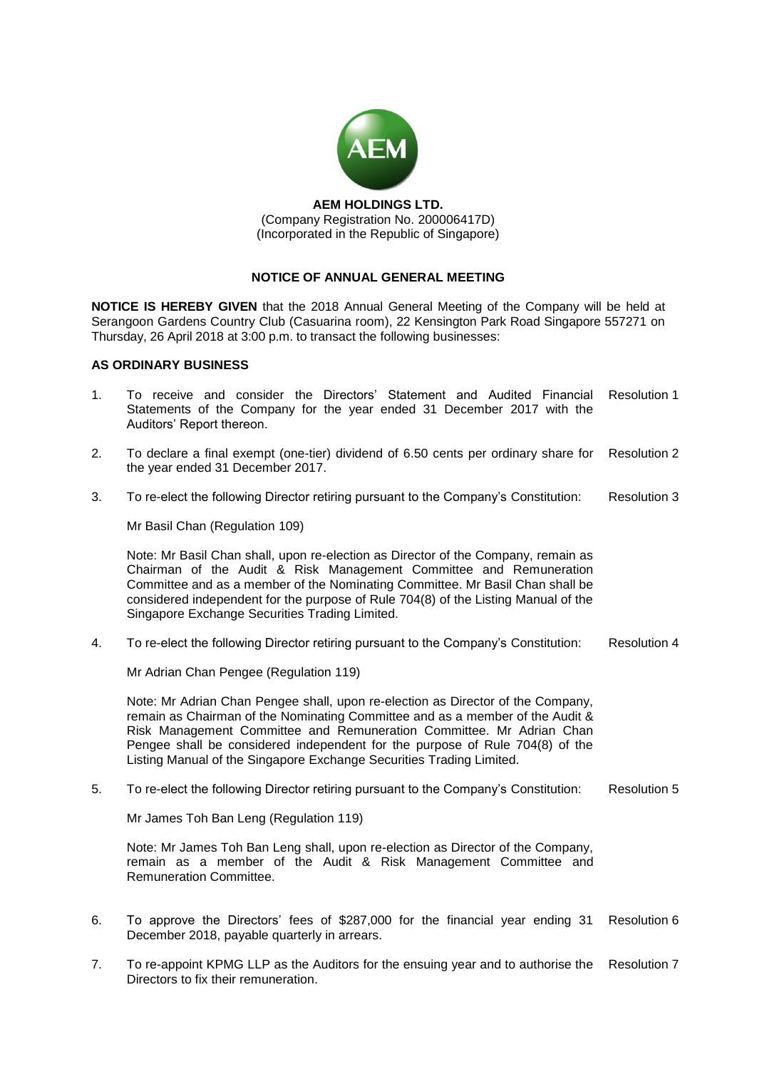

**AEM HOLDINGS LTD.** (Company Registration No. 200006417D) (Incorporated in the Republic of Singapore)

# **NOTICE OF ANNUAL GENERAL MEETING**

**NOTICE IS HEREBY GIVEN** that the 2018 Annual General Meeting of the Company will be held at Serangoon Gardens Country Club (Casuarina room), 22 Kensington Park Road Singapore 557271 on Thursday, 26 April 2018 at 3:00 p.m. to transact the following businesses:

### **AS ORDINARY BUSINESS**

- 1. To receive and consider the Directors' Statement and Audited Financial Resolution 1 Statements of the Company for the year ended 31 December 2017 with the Auditors' Report thereon.
- 2. To declare a final exempt (one-tier) dividend of 6.50 cents per ordinary share for the year ended 31 December 2017. Resolution 2
- 3. To re-elect the following Director retiring pursuant to the Company's Constitution: Resolution 3

Mr Basil Chan (Regulation 109)

Note: Mr Basil Chan shall, upon re-election as Director of the Company, remain as Chairman of the Audit & Risk Management Committee and Remuneration Committee and as a member of the Nominating Committee. Mr Basil Chan shall be considered independent for the purpose of Rule 704(8) of the Listing Manual of the Singapore Exchange Securities Trading Limited.

4. To re-elect the following Director retiring pursuant to the Company's Constitution: Resolution 4

Mr Adrian Chan Pengee (Regulation 119)

Note: Mr Adrian Chan Pengee shall, upon re-election as Director of the Company, remain as Chairman of the Nominating Committee and as a member of the Audit & Risk Management Committee and Remuneration Committee. Mr Adrian Chan Pengee shall be considered independent for the purpose of Rule 704(8) of the Listing Manual of the Singapore Exchange Securities Trading Limited.

5. To re-elect the following Director retiring pursuant to the Company's Constitution: Resolution 5

Mr James Toh Ban Leng (Regulation 119)

Note: Mr James Toh Ban Leng shall, upon re-election as Director of the Company, remain as a member of the Audit & Risk Management Committee and Remuneration Committee.

- 6. To approve the Directors' fees of \$287,000 for the financial year ending 31 December 2018, payable quarterly in arrears. Resolution 6
- 7. To re-appoint KPMG LLP as the Auditors for the ensuing year and to authorise the Resolution 7Directors to fix their remuneration.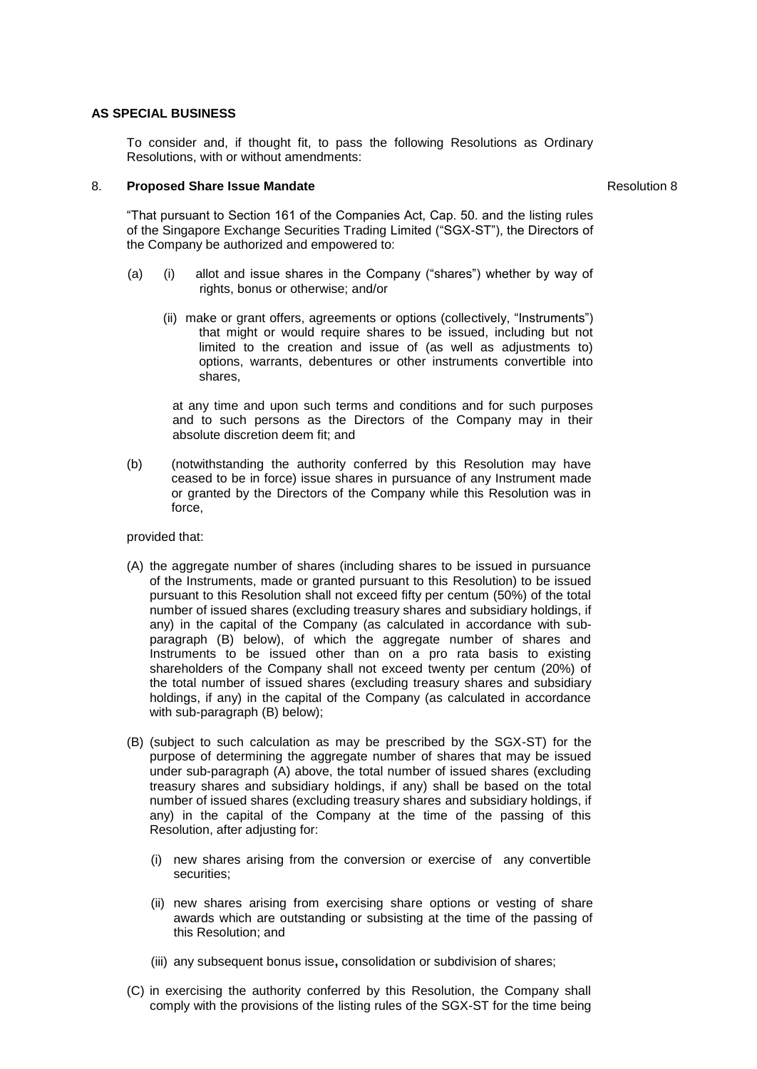### **AS SPECIAL BUSINESS**

To consider and, if thought fit, to pass the following Resolutions as Ordinary Resolutions, with or without amendments:

## 8. **Proposed Share Issue Mandate Resolution 8** Resolution 8

"That pursuant to Section 161 of the Companies Act, Cap. 50. and the listing rules of the Singapore Exchange Securities Trading Limited ("SGX-ST"), the Directors of the Company be authorized and empowered to:

- (a) (i) allot and issue shares in the Company ("shares") whether by way of rights, bonus or otherwise; and/or
	- (ii) make or grant offers, agreements or options (collectively, "Instruments") that might or would require shares to be issued, including but not limited to the creation and issue of (as well as adjustments to) options, warrants, debentures or other instruments convertible into shares,

at any time and upon such terms and conditions and for such purposes and to such persons as the Directors of the Company may in their absolute discretion deem fit; and

(b) (notwithstanding the authority conferred by this Resolution may have ceased to be in force) issue shares in pursuance of any Instrument made or granted by the Directors of the Company while this Resolution was in force,

provided that:

- (A) the aggregate number of shares (including shares to be issued in pursuance of the Instruments, made or granted pursuant to this Resolution) to be issued pursuant to this Resolution shall not exceed fifty per centum (50%) of the total number of issued shares (excluding treasury shares and subsidiary holdings, if any) in the capital of the Company (as calculated in accordance with subparagraph (B) below), of which the aggregate number of shares and Instruments to be issued other than on a pro rata basis to existing shareholders of the Company shall not exceed twenty per centum (20%) of the total number of issued shares (excluding treasury shares and subsidiary holdings, if any) in the capital of the Company (as calculated in accordance with sub-paragraph (B) below);
- (B) (subject to such calculation as may be prescribed by the SGX-ST) for the purpose of determining the aggregate number of shares that may be issued under sub-paragraph (A) above, the total number of issued shares (excluding treasury shares and subsidiary holdings, if any) shall be based on the total number of issued shares (excluding treasury shares and subsidiary holdings, if any) in the capital of the Company at the time of the passing of this Resolution, after adjusting for:
	- (i) new shares arising from the conversion or exercise of any convertible securities;
	- (ii) new shares arising from exercising share options or vesting of share awards which are outstanding or subsisting at the time of the passing of this Resolution; and
	- (iii) any subsequent bonus issue**,** consolidation or subdivision of shares;
- (C) in exercising the authority conferred by this Resolution, the Company shall comply with the provisions of the listing rules of the SGX-ST for the time being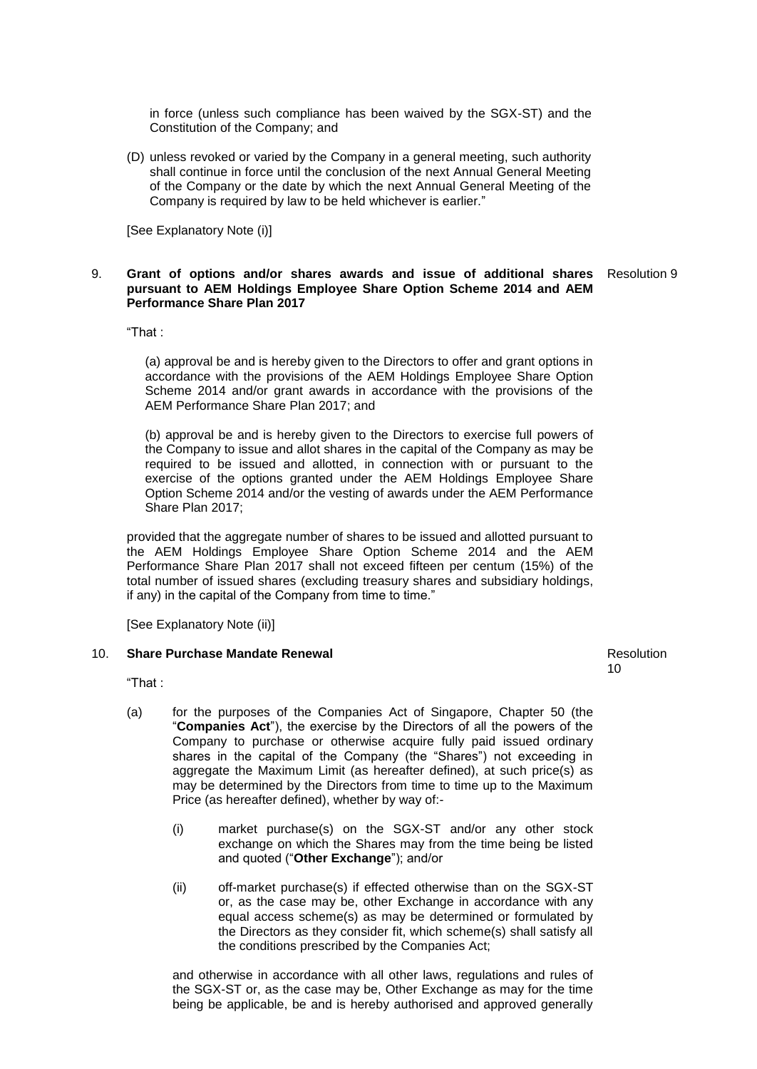in force (unless such compliance has been waived by the SGX-ST) and the Constitution of the Company; and

(D) unless revoked or varied by the Company in a general meeting, such authority shall continue in force until the conclusion of the next Annual General Meeting of the Company or the date by which the next Annual General Meeting of the Company is required by law to be held whichever is earlier."

[See Explanatory Note (i)]

#### 9. **Grant of options and/or shares awards and issue of additional shares**  Resolution 9 **pursuant to AEM Holdings Employee Share Option Scheme 2014 and AEM Performance Share Plan 2017**

"That :

(a) approval be and is hereby given to the Directors to offer and grant options in accordance with the provisions of the AEM Holdings Employee Share Option Scheme 2014 and/or grant awards in accordance with the provisions of the AEM Performance Share Plan 2017; and

(b) approval be and is hereby given to the Directors to exercise full powers of the Company to issue and allot shares in the capital of the Company as may be required to be issued and allotted, in connection with or pursuant to the exercise of the options granted under the AEM Holdings Employee Share Option Scheme 2014 and/or the vesting of awards under the AEM Performance Share Plan 2017;

provided that the aggregate number of shares to be issued and allotted pursuant to the AEM Holdings Employee Share Option Scheme 2014 and the AEM Performance Share Plan 2017 shall not exceed fifteen per centum (15%) of the total number of issued shares (excluding treasury shares and subsidiary holdings, if any) in the capital of the Company from time to time."

[See Explanatory Note (ii)]

#### 10. **Share Purchase Mandate Renewal**

Resolution 10

"That :

- (a) for the purposes of the Companies Act of Singapore, Chapter 50 (the "**Companies Act**"), the exercise by the Directors of all the powers of the Company to purchase or otherwise acquire fully paid issued ordinary shares in the capital of the Company (the "Shares") not exceeding in aggregate the Maximum Limit (as hereafter defined), at such price(s) as may be determined by the Directors from time to time up to the Maximum Price (as hereafter defined), whether by way of:-
	- (i) market purchase(s) on the SGX-ST and/or any other stock exchange on which the Shares may from the time being be listed and quoted ("**Other Exchange**"); and/or
	- (ii) off-market purchase(s) if effected otherwise than on the SGX-ST or, as the case may be, other Exchange in accordance with any equal access scheme(s) as may be determined or formulated by the Directors as they consider fit, which scheme(s) shall satisfy all the conditions prescribed by the Companies Act;

and otherwise in accordance with all other laws, regulations and rules of the SGX-ST or, as the case may be, Other Exchange as may for the time being be applicable, be and is hereby authorised and approved generally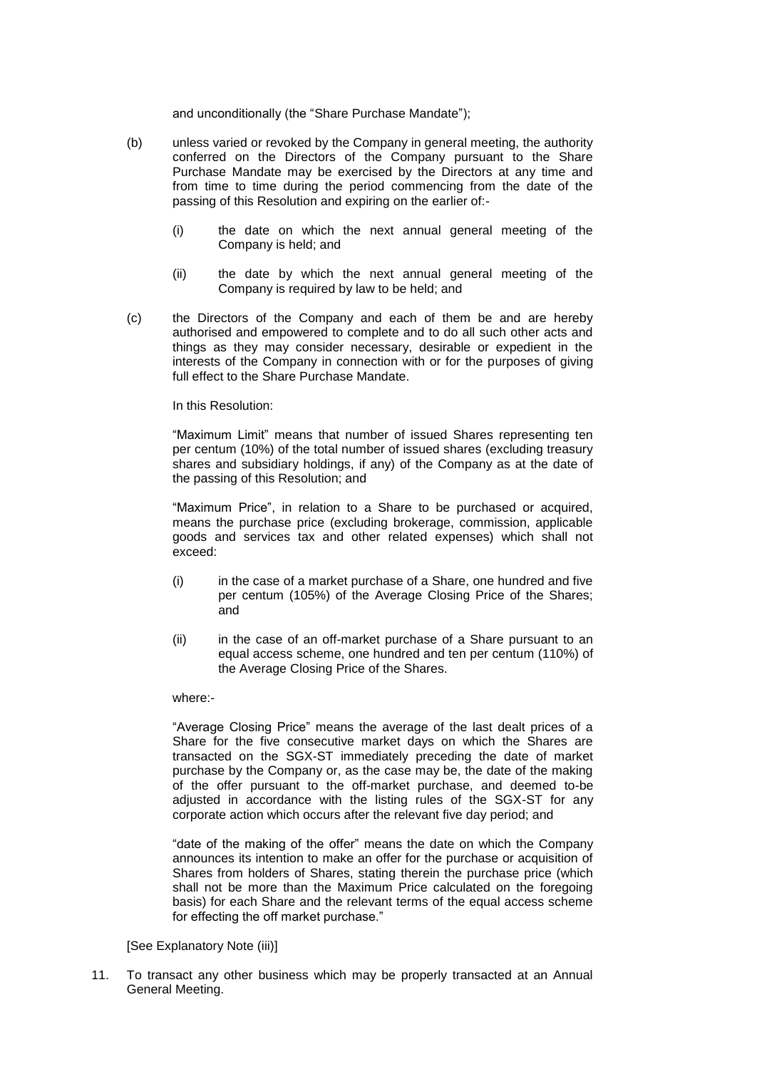and unconditionally (the "Share Purchase Mandate");

- (b) unless varied or revoked by the Company in general meeting, the authority conferred on the Directors of the Company pursuant to the Share Purchase Mandate may be exercised by the Directors at any time and from time to time during the period commencing from the date of the passing of this Resolution and expiring on the earlier of:-
	- (i) the date on which the next annual general meeting of the Company is held; and
	- (ii) the date by which the next annual general meeting of the Company is required by law to be held; and
- (c) the Directors of the Company and each of them be and are hereby authorised and empowered to complete and to do all such other acts and things as they may consider necessary, desirable or expedient in the interests of the Company in connection with or for the purposes of giving full effect to the Share Purchase Mandate.

#### In this Resolution:

"Maximum Limit" means that number of issued Shares representing ten per centum (10%) of the total number of issued shares (excluding treasury shares and subsidiary holdings, if any) of the Company as at the date of the passing of this Resolution; and

"Maximum Price", in relation to a Share to be purchased or acquired, means the purchase price (excluding brokerage, commission, applicable goods and services tax and other related expenses) which shall not exceed:

- (i) in the case of a market purchase of a Share, one hundred and five per centum (105%) of the Average Closing Price of the Shares; and
- (ii) in the case of an off-market purchase of a Share pursuant to an equal access scheme, one hundred and ten per centum (110%) of the Average Closing Price of the Shares.

#### where:-

"Average Closing Price" means the average of the last dealt prices of a Share for the five consecutive market days on which the Shares are transacted on the SGX-ST immediately preceding the date of market purchase by the Company or, as the case may be, the date of the making of the offer pursuant to the off-market purchase, and deemed to-be adjusted in accordance with the listing rules of the SGX-ST for any corporate action which occurs after the relevant five day period; and

"date of the making of the offer" means the date on which the Company announces its intention to make an offer for the purchase or acquisition of Shares from holders of Shares, stating therein the purchase price (which shall not be more than the Maximum Price calculated on the foregoing basis) for each Share and the relevant terms of the equal access scheme for effecting the off market purchase."

[See Explanatory Note (iii)]

11. To transact any other business which may be properly transacted at an Annual General Meeting.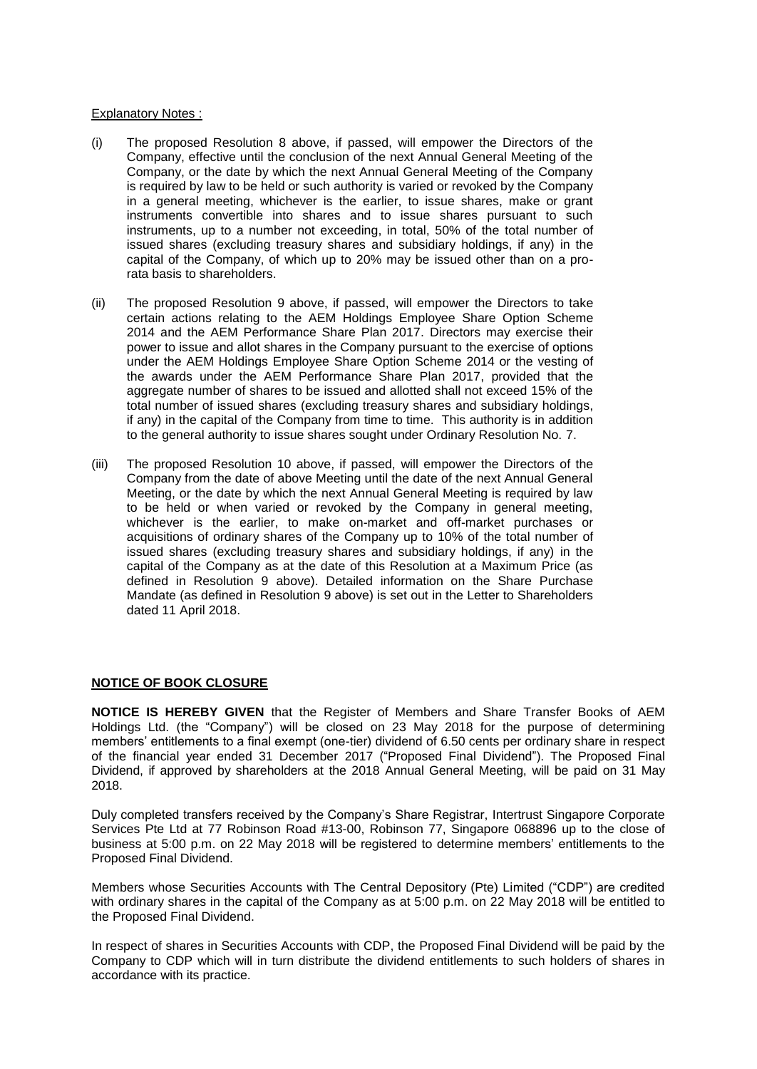## Explanatory Notes :

- (i) The proposed Resolution 8 above, if passed, will empower the Directors of the Company, effective until the conclusion of the next Annual General Meeting of the Company, or the date by which the next Annual General Meeting of the Company is required by law to be held or such authority is varied or revoked by the Company in a general meeting, whichever is the earlier, to issue shares, make or grant instruments convertible into shares and to issue shares pursuant to such instruments, up to a number not exceeding, in total, 50% of the total number of issued shares (excluding treasury shares and subsidiary holdings, if any) in the capital of the Company, of which up to 20% may be issued other than on a prorata basis to shareholders.
- (ii) The proposed Resolution 9 above, if passed, will empower the Directors to take certain actions relating to the AEM Holdings Employee Share Option Scheme 2014 and the AEM Performance Share Plan 2017. Directors may exercise their power to issue and allot shares in the Company pursuant to the exercise of options under the AEM Holdings Employee Share Option Scheme 2014 or the vesting of the awards under the AEM Performance Share Plan 2017, provided that the aggregate number of shares to be issued and allotted shall not exceed 15% of the total number of issued shares (excluding treasury shares and subsidiary holdings, if any) in the capital of the Company from time to time. This authority is in addition to the general authority to issue shares sought under Ordinary Resolution No. 7.
- (iii) The proposed Resolution 10 above, if passed, will empower the Directors of the Company from the date of above Meeting until the date of the next Annual General Meeting, or the date by which the next Annual General Meeting is required by law to be held or when varied or revoked by the Company in general meeting, whichever is the earlier, to make on-market and off-market purchases or acquisitions of ordinary shares of the Company up to 10% of the total number of issued shares (excluding treasury shares and subsidiary holdings, if any) in the capital of the Company as at the date of this Resolution at a Maximum Price (as defined in Resolution 9 above). Detailed information on the Share Purchase Mandate (as defined in Resolution 9 above) is set out in the Letter to Shareholders dated 11 April 2018.

# **NOTICE OF BOOK CLOSURE**

**NOTICE IS HEREBY GIVEN** that the Register of Members and Share Transfer Books of AEM Holdings Ltd. (the "Company") will be closed on 23 May 2018 for the purpose of determining members' entitlements to a final exempt (one-tier) dividend of 6.50 cents per ordinary share in respect of the financial year ended 31 December 2017 ("Proposed Final Dividend"). The Proposed Final Dividend, if approved by shareholders at the 2018 Annual General Meeting, will be paid on 31 May 2018.

Duly completed transfers received by the Company's Share Registrar, Intertrust Singapore Corporate Services Pte Ltd at 77 Robinson Road #13-00, Robinson 77, Singapore 068896 up to the close of business at 5:00 p.m. on 22 May 2018 will be registered to determine members' entitlements to the Proposed Final Dividend.

Members whose Securities Accounts with The Central Depository (Pte) Limited ("CDP") are credited with ordinary shares in the capital of the Company as at 5:00 p.m. on 22 May 2018 will be entitled to the Proposed Final Dividend.

In respect of shares in Securities Accounts with CDP, the Proposed Final Dividend will be paid by the Company to CDP which will in turn distribute the dividend entitlements to such holders of shares in accordance with its practice.